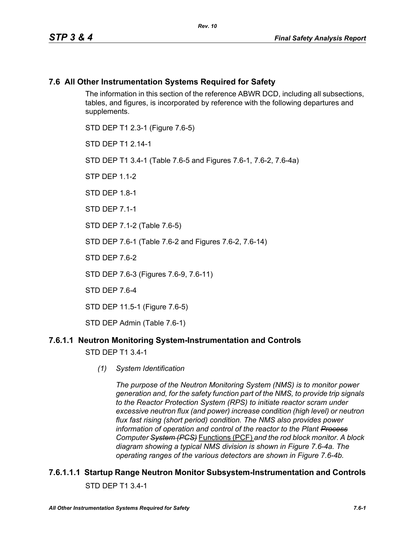### **7.6 All Other Instrumentation Systems Required for Safety**

The information in this section of the reference ABWR DCD, including all subsections, tables, and figures, is incorporated by reference with the following departures and supplements.

STD DEP T1 2.3-1 (Figure 7.6-5) STD DFP T1 2 14-1 STD DEP T1 3.4-1 (Table 7.6-5 and Figures 7.6-1, 7.6-2, 7.6-4a)  $STP$  DFP 11-2 STD DFP 18-1 STD DEP 7.1-1 STD DEP 7.1-2 (Table 7.6-5) STD DEP 7.6-1 (Table 7.6-2 and Figures 7.6-2, 7.6-14) STD DFP 76-2 STD DEP 7.6-3 (Figures 7.6-9, 7.6-11) STD DEP 7.6-4 STD DEP 11.5-1 (Figure 7.6-5)

STD DEP Admin (Table 7.6-1)

### **7.6.1.1 Neutron Monitoring System-Instrumentation and Controls**

STD DEP T1 3.4-1

*(1) System Identification*

*The purpose of the Neutron Monitoring System (NMS) is to monitor power generation and, for the safety function part of the NMS, to provide trip signals to the Reactor Protection System (RPS) to initiate reactor scram under excessive neutron flux (and power) increase condition (high level) or neutron flux fast rising (short period) condition. The NMS also provides power information of operation and control of the reactor to the Plant Process Computer System (PCS)* Functions (PCF) *and the rod block monitor. A block diagram showing a typical NMS division is shown in Figure 7.6-4a. The operating ranges of the various detectors are shown in Figure 7.6-4b.*

## **7.6.1.1.1 Startup Range Neutron Monitor Subsystem-Instrumentation and Controls** STD DEP T1 3.4-1

*All Other Instrumentation Systems Required for Safety 7.6-1*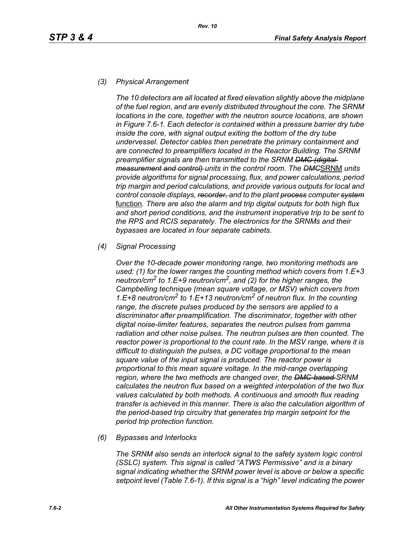#### *(3) Physical Arrangement*

*The 10 detectors are all located at fixed elevation slightly above the midplane of the fuel region, and are evenly distributed throughout the core. The SRNM locations in the core, together with the neutron source locations, are shown in Figure 7.6-1. Each detector is contained within a pressure barrier dry tube inside the core, with signal output exiting the bottom of the dry tube undervessel. Detector cables then penetrate the primary containment and are connected to preamplifiers located in the Reactor Building. The SRNM preamplifier signals are then transmitted to the SRNM DMC (digital measurement and control) units in the control room. The DMC*SRNM *units provide algorithms for signal processing, flux, and power calculations, period trip margin and period calculations, and provide various outputs for local and control console displays, recorder, and to the plant process computer system* function*. There are also the alarm and trip digital outputs for both high flux and short period conditions, and the instrument inoperative trip to be sent to the RPS and RCIS separately. The electronics for the SRNMs and their bypasses are located in four separate cabinets.*

#### *(4) Signal Processing*

*Over the 10-decade power monitoring range, two monitoring methods are used: (1) for the lower ranges the counting method which covers from 1.E+3 neutron/cm2 to 1.E+9 neutron/cm2, and (2) for the higher ranges, the Campbelling technique (mean square voltage, or MSV) which covers from 1.E+8 neutron/cm2 to 1.E+13 neutron/cm2 of neutron flux. In the counting range, the discrete pulses produced by the sensors are applied to a discriminator after preamplification. The discriminator, together with other digital noise-limiter features, separates the neutron pulses from gamma radiation and other noise pulses. The neutron pulses are then counted. The reactor power is proportional to the count rate. In the MSV range, where it is difficult to distinguish the pulses, a DC voltage proportional to the mean square value of the input signal is produced. The reactor power is proportional to this mean square voltage. In the mid-range overlapping region, where the two methods are changed over, the DMC-based SRNM calculates the neutron flux based on a weighted interpolation of the two flux values calculated by both methods. A continuous and smooth flux reading transfer is achieved in this manner. There is also the calculation algorithm of the period-based trip circuitry that generates trip margin setpoint for the period trip protection function.*

#### *(6) Bypasses and Interlocks*

*The SRNM also sends an interlock signal to the safety system logic control (SSLC) system. This signal is called "ATWS Permissive" and is a binary signal indicating whether the SRNM power level is above or below a specific setpoint level (Table 7.6-1). If this signal is a "high" level indicating the power*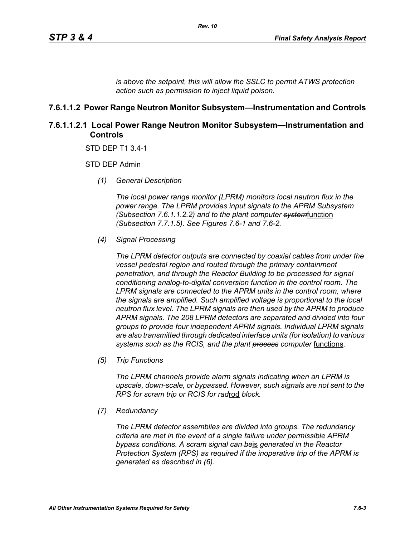*is above the setpoint, this will allow the SSLC to permit ATWS protection action such as permission to inject liquid poison.*

### **7.6.1.1.2 Power Range Neutron Monitor Subsystem—Instrumentation and Controls**

### **7.6.1.1.2.1 Local Power Range Neutron Monitor Subsystem—Instrumentation and Controls**

STD DEP T1 3.4-1

STD DEP Admin

*(1) General Description*

*The local power range monitor (LPRM) monitors local neutron flux in the power range. The LPRM provides input signals to the APRM Subsystem (Subsection 7.6.1.1.2.2) and to the plant computer system*function *(Subsection 7.7.1.5). See Figures 7.6-1 and 7.6-2.*

*(4) Signal Processing*

*The LPRM detector outputs are connected by coaxial cables from under the vessel pedestal region and routed through the primary containment penetration, and through the Reactor Building to be processed for signal conditioning analog-to-digital conversion function in the control room. The LPRM signals are connected to the APRM units in the control room, where the signals are amplified. Such amplified voltage is proportional to the local neutron flux level. The LPRM signals are then used by the APRM to produce APRM signals. The 208 LPRM detectors are separated and divided into four groups to provide four independent APRM signals. Individual LPRM signals are also transmitted through dedicated interface units (for isolation) to various*  systems such as the RCIS, and the plant **process** computer functions.

*(5) Trip Functions*

*The LPRM channels provide alarm signals indicating when an LPRM is upscale, down-scale, or bypassed. However, such signals are not sent to the RPS for scram trip or RCIS for rad*rod *block.*

*(7) Redundancy*

*The LPRM detector assemblies are divided into groups. The redundancy criteria are met in the event of a single failure under permissible APRM bypass conditions. A scram signal can be*is *generated in the Reactor Protection System (RPS) as required if the inoperative trip of the APRM is generated as described in (6).*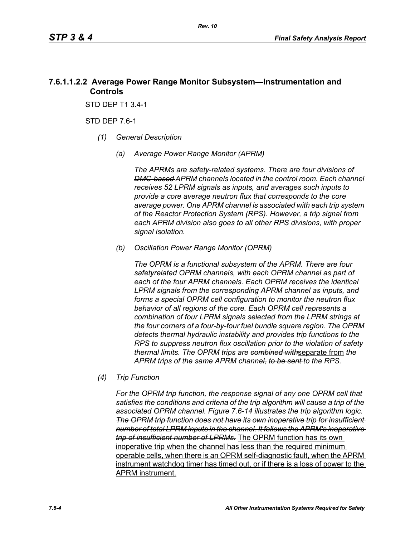### **7.6.1.1.2.2 Average Power Range Monitor Subsystem—Instrumentation and Controls**

STD DEP T1 3.4-1

STD DEP 7.6-1

- *(1) General Description*
	- *(a) Average Power Range Monitor (APRM)*

*The APRMs are safety-related systems. There are four divisions of DMC-based APRM channels located in the control room. Each channel receives 52 LPRM signals as inputs, and averages such inputs to provide a core average neutron flux that corresponds to the core average power. One APRM channel is associated with each trip system of the Reactor Protection System (RPS). However, a trip signal from each APRM division also goes to all other RPS divisions, with proper signal isolation.*

*(b) Oscillation Power Range Monitor (OPRM)*

*The OPRM is a functional subsystem of the APRM. There are four safetyrelated OPRM channels, with each OPRM channel as part of each of the four APRM channels. Each OPRM receives the identical LPRM signals from the corresponding APRM channel as inputs, and forms a special OPRM cell configuration to monitor the neutron flux behavior of all regions of the core. Each OPRM cell represents a combination of four LPRM signals selected from the LPRM strings at the four corners of a four-by-four fuel bundle square region. The OPRM detects thermal hydraulic instability and provides trip functions to the RPS to suppress neutron flux oscillation prior to the violation of safety thermal limits. The OPRM trips are combined with*separate from *the APRM trips of the same APRM channel, to be sent to the RPS.*

*(4) Trip Function*

*For the OPRM trip function, the response signal of any one OPRM cell that satisfies the conditions and criteria of the trip algorithm will cause a trip of the associated OPRM channel. Figure 7.6-14 illustrates the trip algorithm logic. The OPRM trip function does not have its own inoperative trip for insufficient number of total LPRM inputs in the channel. It follows the APRM's inoperative trip of insufficient number of LPRMs.* The OPRM function has its own inoperative trip when the channel has less than the required minimum operable cells, when there is an OPRM self-diagnostic fault, when the APRM instrument watchdog timer has timed out, or if there is a loss of power to the APRM instrument.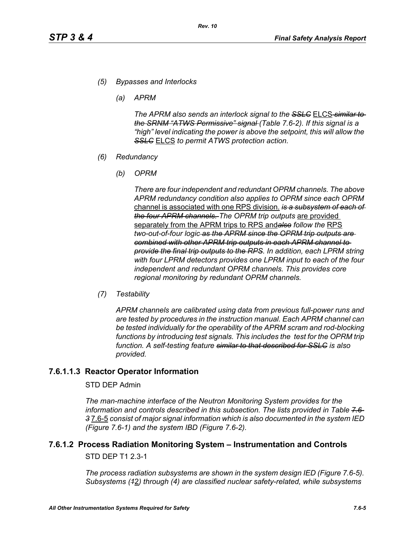- *(5) Bypasses and Interlocks*
	- *(a) APRM*

*The APRM also sends an interlock signal to the SSLC* ELCS *similar to the SRNM "ATWS Permissive" signal (Table 7.6-2). If this signal is a "high" level indicating the power is above the setpoint, this will allow the SSLC* ELCS *to permit ATWS protection action.*

- *(6) Redundancy*
	- *(b) OPRM*

*There are four independent and redundant OPRM channels. The above APRM redundancy condition also applies to OPRM since each OPRM*  channel is associated with one RPS division. *is a subsystem of each of the four APRM channels. The OPRM trip outputs* are provided separately from the APRM trips to RPS and*also follow the* RPS *two-out-of-four logic as the APRM since the OPRM trip outputs are combined with other APRM trip outputs in each APRM channel to provide the final trip outputs to the RPS. In addition, each LPRM string with four LPRM detectors provides one LPRM input to each of the four independent and redundant OPRM channels. This provides core regional monitoring by redundant OPRM channels.*

*(7) Testability*

*APRM channels are calibrated using data from previous full-power runs and are tested by procedures in the instruction manual. Each APRM channel can be tested individually for the operability of the APRM scram and rod-blocking*  functions by introducing test signals. This includes the test for the OPRM trip *function. A self-testing feature similar to that described for SSLC is also provided.*

### **7.6.1.1.3 Reactor Operator Information**

#### STD DEP Admin

*The man-machine interface of the Neutron Monitoring System provides for the information and controls described in this subsection. The lists provided in Table 7.6- 3* 7.6-5 *consist of major signal information which is also documented in the system IED (Figure 7.6-1) and the system IBD (Figure 7.6-2).*

# **7.6.1.2 Process Radiation Monitoring System – Instrumentation and Controls**

STD DEP T1 2.3-1

*The process radiation subsystems are shown in the system design IED (Figure 7.6-5). Subsystems (1*2*) through (4) are classified nuclear safety-related, while subsystems*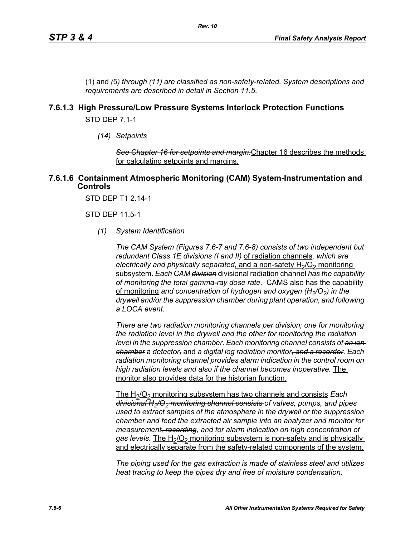(1) and *(*5*) through (11) are classified as non-safety-related. System descriptions and requirements are described in detail in Section 11.5*.

### **7.6.1.3 High Pressure/Low Pressure Systems Interlock Protection Functions**

STD DEP 7.1-1

*(14) Setpoints*

*See Chapter 16 for setpoints and margin.*Chapter 16 describes the methods for calculating setpoints and margins.

#### **7.6.1.6 Containment Atmospheric Monitoring (CAM) System-Instrumentation and Controls**

STD DEP T1 2.14-1

STD DEP 11.5-1

*(1) System Identification*

*The CAM System (Figures 7.6-7 and 7.6-8) consists of two independent but redundant Class 1E divisions (I and II)* of radiation channels*, which are electrically and physically separated, and a non-safety H<sub>2</sub>/O<sub>2</sub> monitoring* subsystem*. Each CAM division* divisional radiation channel *has the capability of monitoring the total gamma-ray dose rate*. CAMS also has the capability of monitoring and concentration of hydrogen and oxygen (H<sub>2</sub>/O<sub>2</sub>) in the *drywell and/or the suppression chamber during plant operation, and following a LOCA event.* 

*There are two radiation monitoring channels per division; one for monitoring the radiation level in the drywell and the other for monitoring the radiation level in the suppression chamber. Each monitoring channel consists of an ion chamber* a *detector,* and *a digital log radiation monitor, and a recorder. Each radiation monitoring channel provides alarm indication in the control room on high radiation levels and also if the channel becomes inoperative.* The monitor also provides data for the historian function.

The H<sub>2</sub>/O<sub>2</sub> monitoring subsystem has two channels and consists **Each** *divisional H2/O2 monitoring channel consists of valves, pumps, and pipes used to extract samples of the atmosphere in the drywell or the suppression chamber and feed the extracted air sample into an analyzer and monitor for measurement, recording, and for alarm indication on high concentration of*  gas levels. The H<sub>2</sub>/O<sub>2</sub> monitoring subsystem is non-safety and is physically and electrically separate from the safety-related components of the system.

*The piping used for the gas extraction is made of stainless steel and utilizes heat tracing to keep the pipes dry and free of moisture condensation.*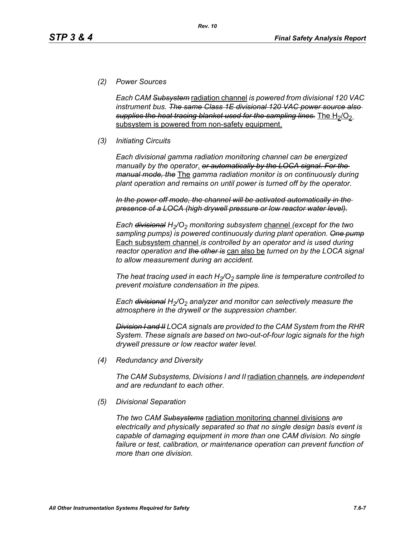### *(2) Power Sources*

*Each CAM Subsystem* radiation channel *is powered from divisional 120 VAC instrument bus. The same Class 1E divisional 120 VAC power source also*  supplies the heat tracing blanket used for the sampling lines. The H<sub>2</sub>/O<sub>2</sub> subsystem is powered from non-safety equipment.

*Rev. 10*

### *(3) Initiating Circuits*

*Each divisional gamma radiation monitoring channel can be energized manually by the operator*. *or automatically by the LOCA signal. For the manual mode, the* The *gamma radiation monitor is on continuously during plant operation and remains on until power is turned off by the operator.*

*In the power off mode, the channel will be activated automatically in the presence of a LOCA (high drywell pressure or low reactor water level).*

*Each <del>divisional</del> H<sub>2</sub>/O<sub>2</sub> monitoring subsystem channel (except for the two sampling pumps) is powered continuously during plant operation. One pump* Each subsystem channel *is controlled by an operator and is used during reactor operation and the other is* can also be *turned on by the LOCA signal to allow measurement during an accident.*

The heat tracing used in each  $H_2/O_2$  sample line is temperature controlled to *prevent moisture condensation in the pipes.* 

*Each <del>divisional</del> H<sub>2</sub>/O<sub>2</sub> analyzer and monitor can selectively measure the atmosphere in the drywell or the suppression chamber.*

*Division I and II LOCA signals are provided to the CAM System from the RHR System. These signals are based on two-out-of-four logic signals for the high drywell pressure or low reactor water level.*

*(4) Redundancy and Diversity*

*The CAM Subsystems, Divisions I and II* radiation channels*, are independent and are redundant to each other.*

*(5) Divisional Separation*

*The two CAM Subsystems* radiation monitoring channel divisions *are electrically and physically separated so that no single design basis event is capable of damaging equipment in more than one CAM division. No single*  failure or test, calibration, or maintenance operation can prevent function of *more than one division.*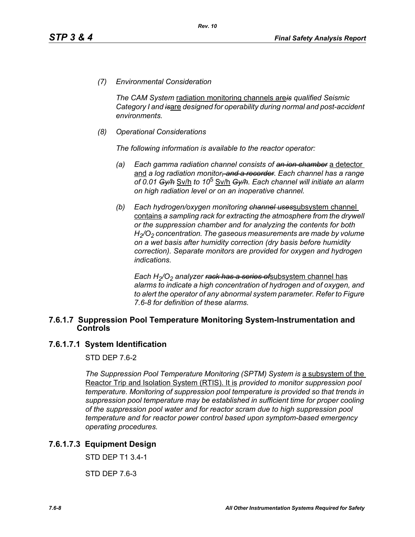*(7) Environmental Consideration*

*The CAM System* radiation monitoring channels are*is qualified Seismic Category I and is*are *designed for operability during normal and post-accident environments.*

*(8) Operational Considerations*

*The following information is available to the reactor operator:*

- *(a) Each gamma radiation channel consists of an ion chamber* a detector and *a log radiation monitor, and a recorder. Each channel has a range of 0.01 Gy/h* Sv/h *to 10*5 Sv/h *Gy/h. Each channel will initiate an alarm on high radiation level or on an inoperative channel.*
- *(b) Each hydrogen/oxygen monitoring channel uses*subsystem channel contains *a sampling rack for extracting the atmosphere from the drywell or the suppression chamber and for analyzing the contents for both H2/O2 concentration. The gaseous measurements are made by volume on a wet basis after humidity correction (dry basis before humidity correction). Separate monitors are provided for oxygen and hydrogen indications.*

*Each H<sub>2</sub>/O<sub>2</sub> analyzer <del>rack has a series of</del>subsystem channel has alarms to indicate a high concentration of hydrogen and of oxygen, and to alert the operator of any abnormal system parameter. Refer to Figure 7.6-8 for definition of these alarms.*

#### **7.6.1.7 Suppression Pool Temperature Monitoring System-Instrumentation and Controls**

#### **7.6.1.7.1 System Identification**

STD DFP 76-2

*The Suppression Pool Temperature Monitoring (SPTM) System is a subsystem of the* Reactor Trip and Isolation System (RTIS). It is *provided to monitor suppression pool temperature. Monitoring of suppression pool temperature is provided so that trends in suppression pool temperature may be established in sufficient time for proper cooling of the suppression pool water and for reactor scram due to high suppression pool temperature and for reactor power control based upon symptom-based emergency operating procedures.*

### **7.6.1.7.3 Equipment Design**

STD DEP T1 3.4-1

STD DEP 7.6-3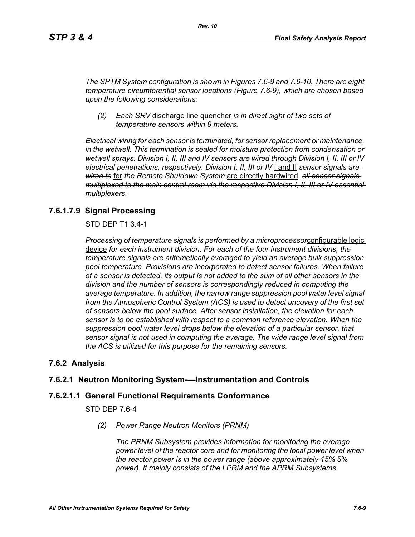*The SPTM System configuration is shown in Figures 7.6-9 and 7.6-10. There are eight temperature circumferential sensor locations (Figure 7.6-9), which are chosen based upon the following considerations:*

*(2) Each SRV* discharge line quencher *is in direct sight of two sets of temperature sensors within 9 meters.*

*Electrical wiring for each sensor is terminated, for sensor replacement or maintenance, in the wetwell. This termination is sealed for moisture protection from condensation or wetwell sprays. Division I, II, III and IV sensors are wired through Division I, II, III or IV electrical penetrations, respectively. Division I, II, III or IV* I and II *sensor signals are wired to* for *the Remote Shutdown System* are directly hardwired*. all sensor signals multiplexed to the main control room via the respective Division I, II, III or IV essential multiplexers.*

### **7.6.1.7.9 Signal Processing**

STD DEP T1 3.4-1

*Processing of temperature signals is performed by a microprocessor*configurable logic device *for each instrument division. For each of the four instrument divisions, the temperature signals are arithmetically averaged to yield an average bulk suppression pool temperature. Provisions are incorporated to detect sensor failures. When failure of a sensor is detected, its output is not added to the sum of all other sensors in the division and the number of sensors is correspondingly reduced in computing the average temperature. In addition, the narrow range suppression pool water level signal*  from the Atmospheric Control System (ACS) is used to detect uncovery of the first set *of sensors below the pool surface. After sensor installation, the elevation for each sensor is to be established with respect to a common reference elevation. When the suppression pool water level drops below the elevation of a particular sensor, that sensor signal is not used in computing the average. The wide range level signal from the ACS is utilized for this purpose for the remaining sensors.*

### **7.6.2 Analysis**

### **7.6.2.1 Neutron Monitoring System-—Instrumentation and Controls**

#### **7.6.2.1.1 General Functional Requirements Conformance**

STD DEP 7.6-4

*(2) Power Range Neutron Monitors (PRNM)*

*The PRNM Subsystem provides information for monitoring the average power level of the reactor core and for monitoring the local power level when the reactor power is in the power range (above approximately 15%* 5% *power). It mainly consists of the LPRM and the APRM Subsystems.*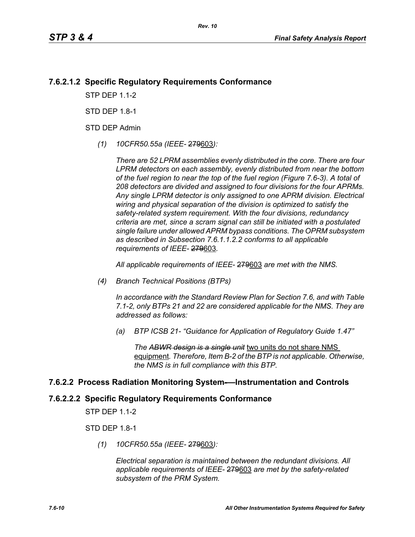### **7.6.2.1.2 Specific Regulatory Requirements Conformance**

*Rev. 10*

**STP DFP 11-2** 

STD DFP 18-1

STD DEP Admin

*(1) 10CFR50.55a (IEEE-* 279603*):*

*There are 52 LPRM assemblies evenly distributed in the core. There are four LPRM detectors on each assembly, evenly distributed from near the bottom of the fuel region to near the top of the fuel region (Figure 7.6-3). A total of 208 detectors are divided and assigned to four divisions for the four APRMs. Any single LPRM detector is only assigned to one APRM division. Electrical wiring and physical separation of the division is optimized to satisfy the safety-related system requirement. With the four divisions, redundancy criteria are met, since a scram signal can still be initiated with a postulated single failure under allowed APRM bypass conditions. The OPRM subsystem as described in Subsection 7.6.1.1.2.2 conforms to all applicable requirements of IEEE-* 279603*.*

*All applicable requirements of IEEE-* 279603 *are met with the NMS.*

*(4) Branch Technical Positions (BTPs)* 

*In accordance with the Standard Review Plan for Section 7.6, and with Table 7.1-2, only BTPs 21 and 22 are considered applicable for the NMS. They are addressed as follows:* 

*(a) BTP ICSB 21- "Guidance for Application of Regulatory Guide 1.47"* 

*The ABWR design is a single unit* two units do not share NMS equipment*. Therefore, Item B-2 of the BTP is not applicable. Otherwise, the NMS is in full compliance with this BTP.* 

#### **7.6.2.2 Process Radiation Monitoring System-—Instrumentation and Controls**

#### **7.6.2.2.2 Specific Regulatory Requirements Conformance**

STP DEP 1.1-2

STD DEP 1.8-1

*(1) 10CFR50.55a (IEEE-* 279603*):*

*Electrical separation is maintained between the redundant divisions. All applicable requirements of IEEE-* 279603 *are met by the safety-related subsystem of the PRM System.*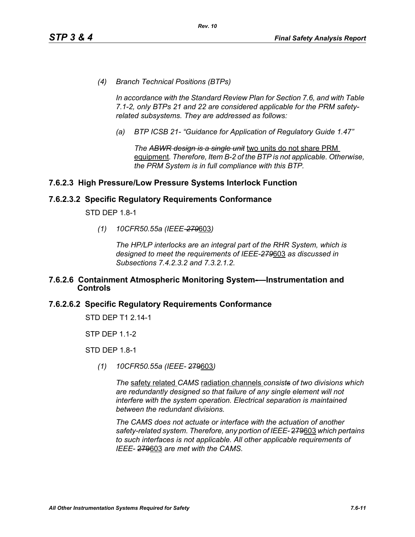*(4) Branch Technical Positions (BTPs)* 

*In accordance with the Standard Review Plan for Section 7.6, and with Table 7.1-2, only BTPs 21 and 22 are considered applicable for the PRM safetyrelated subsystems. They are addressed as follows:* 

*(a) BTP ICSB 21- "Guidance for Application of Regulatory Guide 1.47"*

*The ABWR design is a single unit* two units do not share PRM equipment*. Therefore, Item B-2 of the BTP is not applicable. Otherwise, the PRM System is in full compliance with this BTP.* 

### **7.6.2.3 High Pressure/Low Pressure Systems Interlock Function**

#### **7.6.2.3.2 Specific Regulatory Requirements Conformance**

STD DEP 1.8-1

*(1) 10CFR50.55a (IEEE-279*603*)*

*The HP/LP interlocks are an integral part of the RHR System, which is designed to meet the requirements of IEEE-279*603 *as discussed in Subsections 7.4.2.3.2 and 7.3.2.1.2.*

#### **7.6.2.6 Containment Atmospheric Monitoring System-—Instrumentation and Controls**

#### **7.6.2.6.2 Specific Regulatory Requirements Conformance**

STD DEP T1 2.14-1

STP DEP 1.1-2

STD DEP 1.8-1

*(1) 10CFR50.55a (IEEE-* 279603*)*

*The* safety related *CAMS* radiation channels *consists of two divisions which are redundantly designed so that failure of any single element will not interfere with the system operation. Electrical separation is maintained between the redundant divisions.*

*The CAMS does not actuate or interface with the actuation of another safety-related system. Therefore, any portion of IEEE-* 279603 *which pertains to such interfaces is not applicable. All other applicable requirements of IEEE-* 279603 *are met with the CAMS.*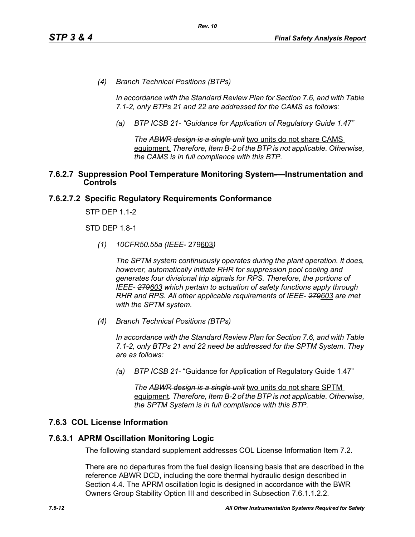*(4) Branch Technical Positions (BTPs)* 

*In accordance with the Standard Review Plan for Section 7.6, and with Table 7.1-2, only BTPs 21 and 22 are addressed for the CAMS as follows:* 

*(a) BTP ICSB 21- "Guidance for Application of Regulatory Guide 1.47"*

*The ABWR design is a single unit* two units do not share CAMS equipment. *Therefore, Item B-2 of the BTP is not applicable. Otherwise, the CAMS is in full compliance with this BTP.* 

#### **7.6.2.7 Suppression Pool Temperature Monitoring System-—Instrumentation and Controls**

### **7.6.2.7.2 Specific Regulatory Requirements Conformance**

STP DEP 1.1-2

STD DEP 1.8-1

*(1) 10CFR50.55a (IEEE*- 279603*)*

*The SPTM system continuously operates during the plant operation. It does, however, automatically initiate RHR for suppression pool cooling and generates four divisional trip signals for RPS. Therefore, the portions of IEEE- 279603 which pertain to actuation of safety functions apply through RHR and RPS. All other applicable requirements of IEEE- 279603 are met with the SPTM system.*

*(4) Branch Technical Positions (BTPs)*

*In accordance with the Standard Review Plan for Section 7.6, and with Table 7.1-2, only BTPs 21 and 22 need be addressed for the SPTM System. They are as follows:*

*(a) BTP ICSB 21-* "Guidance for Application of Regulatory Guide 1.47"

*The ABWR design is a single unit* two units do not share SPTM equipment*. Therefore, Item B-2 of the BTP is not applicable. Otherwise, the SPTM System is in full compliance with this BTP.*

### **7.6.3 COL License Information**

#### **7.6.3.1 APRM Oscillation Monitoring Logic**

The following standard supplement addresses COL License Information Item 7.2.

There are no departures from the fuel design licensing basis that are described in the reference ABWR DCD, including the core thermal hydraulic design described in Section 4.4. The APRM oscillation logic is designed in accordance with the BWR Owners Group Stability Option III and described in Subsection 7.6.1.1.2.2.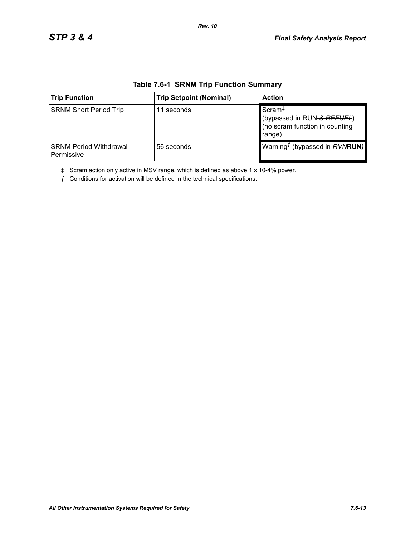| <b>Trip Function</b>                        | <b>Trip Setpoint (Nominal)</b> | <b>Action</b>                                                                                |
|---------------------------------------------|--------------------------------|----------------------------------------------------------------------------------------------|
| <b>SRNM Short Period Trip</b>               | 11 seconds                     | Scram <sup>+</sup><br>(bypassed in RUN-& REFUEL)<br>(no scram function in counting<br>range) |
| <b>SRNM Period Withdrawal</b><br>Permissive | 56 seconds                     | Warning <sup>J</sup> (bypassed in <b>RVNRUN)</b>                                             |

### **Table 7.6-1 SRNM Trip Function Summary**

*Rev. 10*

‡ Scram action only active in MSV range, which is defined as above 1 x 10-4% power.

 $f$  Conditions for activation will be defined in the technical specifications.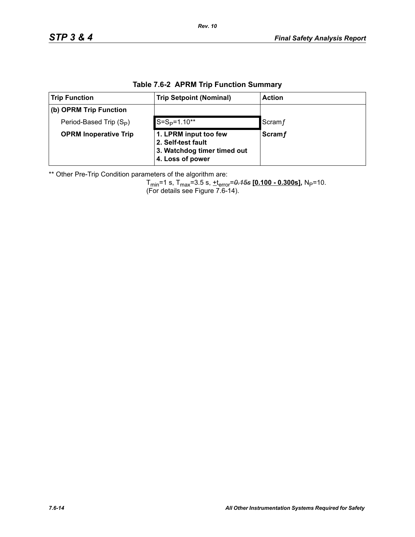| <b>Trip Function</b>                | <b>Trip Setpoint (Nominal)</b>                                                                 | <b>Action</b> |  |  |  |
|-------------------------------------|------------------------------------------------------------------------------------------------|---------------|--|--|--|
| (b) OPRM Trip Function              |                                                                                                |               |  |  |  |
| Period-Based Trip (S <sub>P</sub> ) | $S=S_{P}=1.10**$                                                                               | Scram f       |  |  |  |
| <b>OPRM Inoperative Trip</b>        | 1. LPRM input too few<br>2. Self-test fault<br>3. Watchdog timer timed out<br>4. Loss of power | <b>Scramf</b> |  |  |  |

### **Table 7.6-2 APRM Trip Function Summary**

\*\* Other Pre-Trip Condition parameters of the algorithm are:

Tmin=1 s, Tmax=3.5 s, +terror=*0.15s* **[0.100 - 0.300s],** NP=10. (For details see Figure 7.6-14).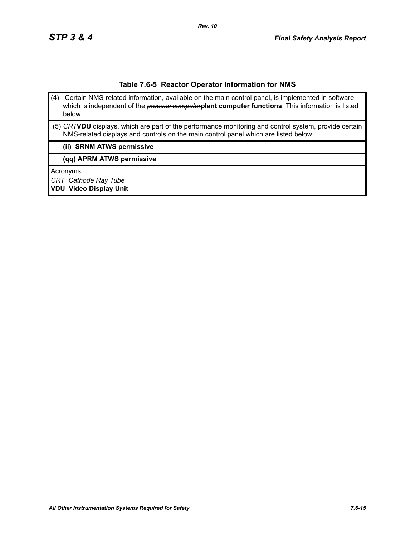#### **Table 7.6-5 Reactor Operator Information for NMS**

- (4) Certain NMS-related information, available on the main control panel, is implemented in software which is independent of the *process computer***plant computer functions**. This information is listed below.
- (5) *CRT***VDU** displays, which are part of the performance monitoring and control system, provide certain NMS-related displays and controls on the main control panel which are listed below:

#### **(ii) SRNM ATWS permissive**

**(qq) APRM ATWS permissive**

Acronyms

*CRT Cathode Ray Tube*

**VDU Video Display Unit**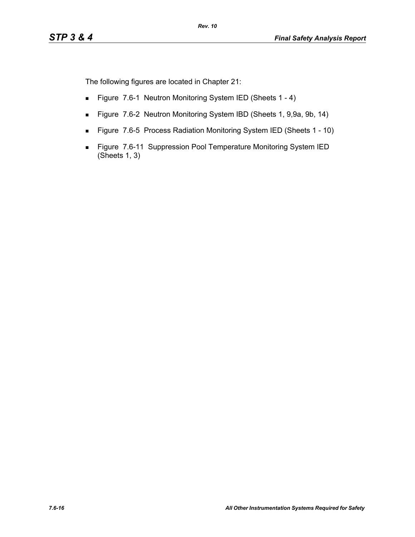The following figures are located in Chapter 21:

- Figure 7.6-1 Neutron Monitoring System IED (Sheets 1 4)
- Figure 7.6-2 Neutron Monitoring System IBD (Sheets 1, 9,9a, 9b, 14)
- Figure 7.6-5 Process Radiation Monitoring System IED (Sheets 1 10)
- Figure 7.6-11 Suppression Pool Temperature Monitoring System IED (Sheets 1, 3)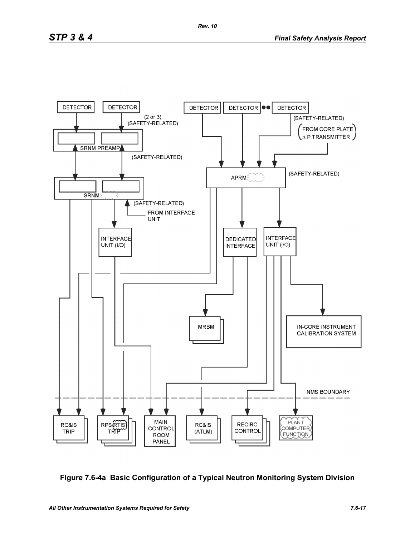

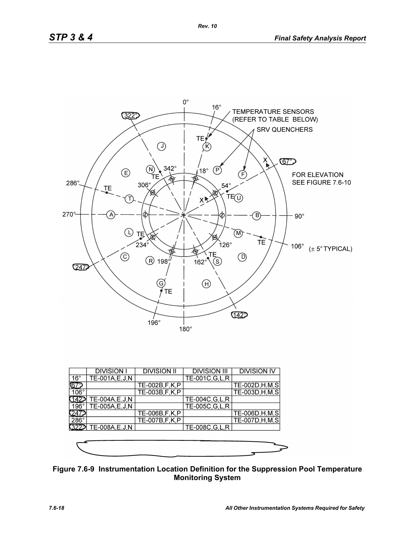

|              | <b>DIVISION I</b> | <b>DIVISION II</b> | <b>DIVISION III</b> | <b>DIVISION IV</b> |
|--------------|-------------------|--------------------|---------------------|--------------------|
| $16^{\circ}$ | TE-001A, E, J, N  |                    | TE-001C, G, L, R    |                    |
| ୲ଢ଼          |                   | TE-002B, F, K, P   |                     | TE-002D, H, M, S   |
| $106^\circ$  |                   | TE-003B, F, K, P   |                     | TE-003D, H, M, S   |
|              | TE-004A, E, J, N  |                    | TE-004C, G, L, R    |                    |
| 196°1        | TE-005A,E,J,N     |                    | TE-005C, G, L, R    |                    |
|              |                   | TE-006B, F, K, P   |                     | TE-006D, H, M, S   |
| $286^\circ$  |                   | TE-007B, F, K, P   |                     | TE-007D, H, M, S   |
| 3229         | TE-008A, E, J, N  |                    | TE-008C, G, L, R    |                    |
|              |                   |                    |                     |                    |
|              |                   |                    |                     |                    |
|              |                   |                    |                     |                    |

**Figure 7.6-9 Instrumentation Location Definition for the Suppression Pool Temperature Monitoring System**